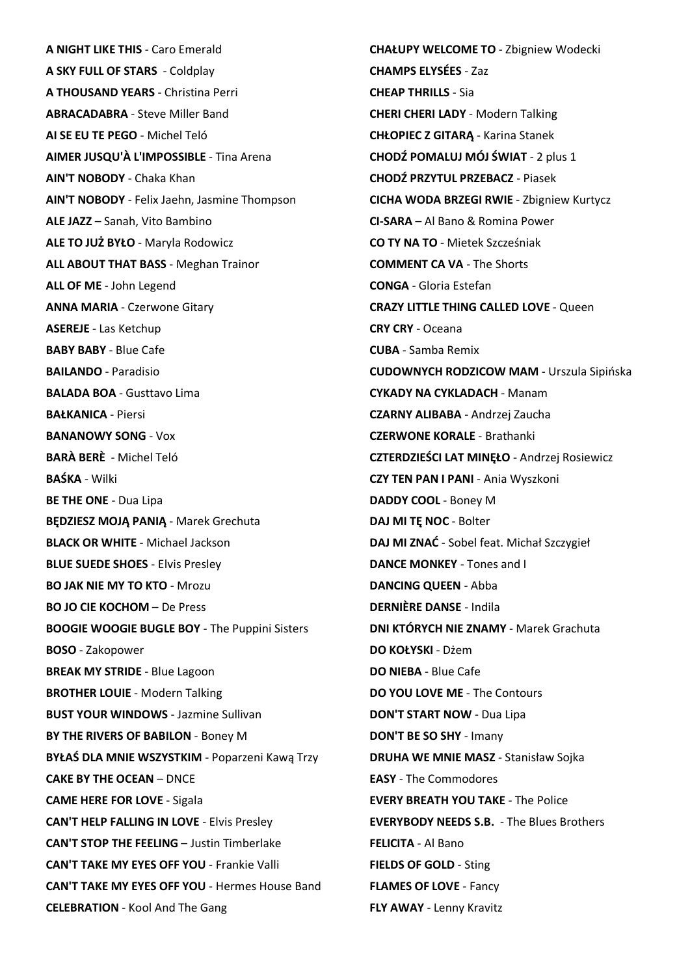**A NIGHT LIKE THIS** - Caro Emerald **A SKY FULL OF STARS** - Coldplay **A THOUSAND YEARS** - Christina Perri **ABRACADABRA** - Steve Miller Band **AI SE EU TE PEGO** - Michel Teló **AIMER JUSQU'À L'IMPOSSIBLE** - Tina Arena **AIN'T NOBODY** - Chaka Khan **AIN'T NOBODY** - Felix Jaehn, Jasmine Thompson **ALE JAZZ** – Sanah, Vito Bambino **ALE TO JUŻ BYŁO** - Maryla Rodowicz **ALL ABOUT THAT BASS** - Meghan Trainor **ALL OF ME** - John Legend **ANNA MARIA** - Czerwone Gitary **ASEREJE** - Las Ketchup **BABY BABY** - Blue Cafe **BAILANDO** - Paradisio **BALADA BOA** - Gusttavo Lima **BAŁKANICA** - Piersi **BANANOWY SONG** - Vox **BARÀ BERÈ** - Michel Teló **BAŚKA** - Wilki **BE THE ONE** - Dua Lipa **BĘDZIESZ MOJĄ PANIĄ** - Marek Grechuta **BLACK OR WHITE** - Michael Jackson **BLUE SUEDE SHOES** - Elvis Presley **BO JAK NIE MY TO KTO** - Mrozu **BO JO CIE KOCHOM** – De Press **BOOGIE WOOGIE BUGLE BOY** - The Puppini Sisters **BOSO** - Zakopower **BREAK MY STRIDE** - Blue Lagoon **BROTHER LOUIE** - Modern Talking **BUST YOUR WINDOWS** - Jazmine Sullivan **BY THE RIVERS OF BABILON** - Boney M **BYŁAŚ DLA MNIE WSZYSTKIM** - Poparzeni Kawą Trzy **CAKE BY THE OCEAN** – DNCE **CAME HERE FOR LOVE** - Sigala **CAN'T HELP FALLING IN LOVE** - Elvis Presley **CAN'T STOP THE FEELING** – Justin Timberlake **CAN'T TAKE MY EYES OFF YOU** - Frankie Valli **CAN'T TAKE MY EYES OFF YOU** - Hermes House Band **CELEBRATION** - Kool And The Gang

**CHAŁUPY WELCOME TO** - Zbigniew Wodecki **CHAMPS ELYSÉES** - Zaz **CHEAP THRILLS** - Sia **CHERI CHERI LADY** - Modern Talking **CHŁOPIEC Z GITARĄ** - Karina Stanek **CHODŹ POMALUJ MÓJ ŚWIAT** - 2 plus 1 **CHODŹ PRZYTUL PRZEBACZ** - Piasek **CICHA WODA BRZEGI RWIE** - Zbigniew Kurtycz **CI-SARA** – Al Bano & Romina Power **CO TY NA TO** - Mietek Szcześniak **COMMENT CA VA** - The Shorts **CONGA** - Gloria Estefan **CRAZY LITTLE THING CALLED LOVE** - Queen **CRY CRY** - Oceana **CUBA** - Samba Remix **CUDOWNYCH RODZICOW MAM** - Urszula Sipińska **CYKADY NA CYKLADACH** - Manam **CZARNY ALIBABA** - Andrzej Zaucha **CZERWONE KORALE** - Brathanki **CZTERDZIEŚCI LAT MINĘŁO** - Andrzej Rosiewicz **CZY TEN PAN I PANI** - Ania Wyszkoni **DADDY COOL** - Boney M **DAJ MI TĘ NOC** - Bolter **DAJ MI ZNAĆ** - Sobel feat. Michał Szczygieł **DANCE MONKEY** - Tones and I **DANCING QUEEN** - Abba **DERNIÈRE DANSE** - Indila **DNI KTÓRYCH NIE ZNAMY** - Marek Grachuta **DO KOŁYSKI** - Dżem **DO NIEBA** - Blue Cafe **DO YOU LOVE ME** - The Contours **DON'T START NOW** - Dua Lipa **DON'T BE SO SHY** - Imany **DRUHA WE MNIE MASZ** - Stanisław Sojka **EASY** - The Commodores **EVERY BREATH YOU TAKE** - The Police **EVERYBODY NEEDS S.B.** - The Blues Brothers **FELICITA** - Al Bano **FIELDS OF GOLD** - Sting **FLAMES OF LOVE** - Fancy **FLY AWAY** - Lenny Kravitz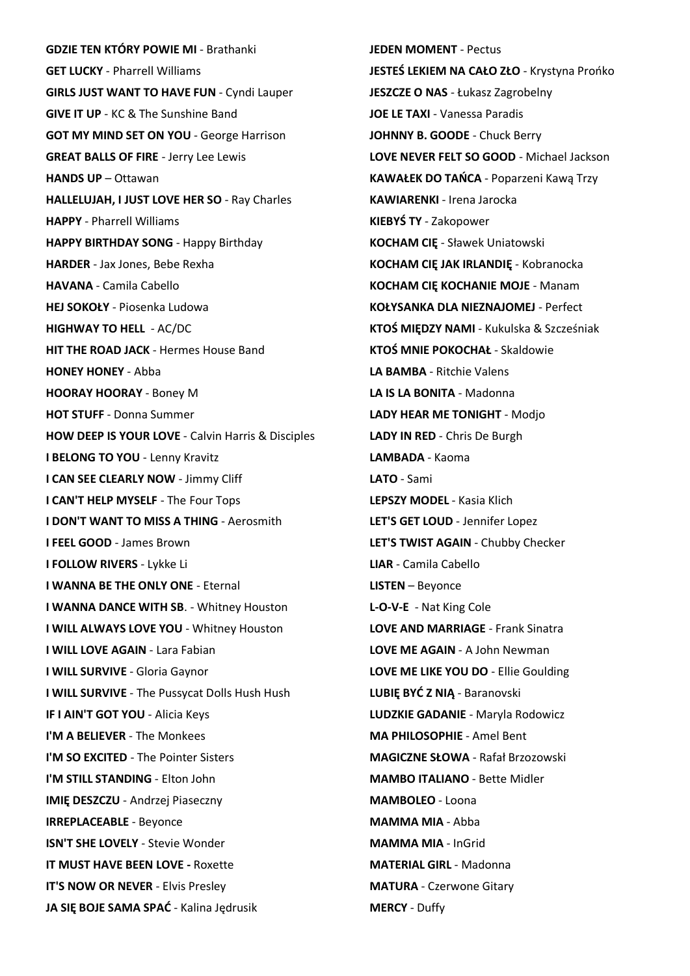**GDZIE TEN KTÓRY POWIE MI** - Brathanki **GET LUCKY** - Pharrell Williams **GIRLS JUST WANT TO HAVE FUN** - Cyndi Lauper **GIVE IT UP** - KC & The Sunshine Band **GOT MY MIND SET ON YOU** - George Harrison **GREAT BALLS OF FIRE** - Jerry Lee Lewis **HANDS UP** – Ottawan **HALLELUJAH, I JUST LOVE HER SO** - Ray Charles **HAPPY** - Pharrell Williams **HAPPY BIRTHDAY SONG** - Happy Birthday **HARDER** - Jax Jones, Bebe Rexha **HAVANA** - Camila Cabello **HEJ SOKOŁY** - Piosenka Ludowa **HIGHWAY TO HELL** - AC/DC **HIT THE ROAD JACK** - Hermes House Band **HONEY HONEY** - Abba **HOORAY HOORAY** - Boney M **HOT STUFF** - Donna Summer **HOW DEEP IS YOUR LOVE** - Calvin Harris & Disciples **I BELONG TO YOU** - Lenny Kravitz **I CAN SEE CLEARLY NOW - Jimmy Cliff I CAN'T HELP MYSELF** - The Four Tops **I DON'T WANT TO MISS A THING** - Aerosmith **I FEEL GOOD** - James Brown **I FOLLOW RIVERS** - Lykke Li **I WANNA BE THE ONLY ONE** - Eternal **I WANNA DANCE WITH SB**. - Whitney Houston **I WILL ALWAYS LOVE YOU** - Whitney Houston **I WILL LOVE AGAIN** - Lara Fabian **I WILL SURVIVE** - Gloria Gaynor **I WILL SURVIVE** - The Pussycat Dolls Hush Hush **IF I AIN'T GOT YOU** - Alicia Keys **I'M A BELIEVER** - The Monkees **I'M SO EXCITED** - The Pointer Sisters **I'M STILL STANDING** - Elton John **IMIĘ DESZCZU** - Andrzej Piaseczny **IRREPLACEABLE** - Beyonce **ISN'T SHE LOVELY** - Stevie Wonder **IT MUST HAVE BEEN LOVE -** Roxette **IT'S NOW OR NEVER - Elvis Presley JA SIĘ BOJE SAMA SPAĆ** - Kalina Jędrusik

**JEDEN MOMENT** - Pectus **JESTEŚ LEKIEM NA CAŁO ZŁO** - Krystyna Prońko **JESZCZE O NAS** - Łukasz Zagrobelny **JOE LE TAXI** - Vanessa Paradis **JOHNNY B. GOODE** - Chuck Berry **LOVE NEVER FELT SO GOOD** - Michael Jackson **KAWAŁEK DO TAŃCA** - Poparzeni Kawą Trzy **KAWIARENKI** - Irena Jarocka **KIEBYŚ TY** - Zakopower **KOCHAM CIĘ** - Sławek Uniatowski **KOCHAM CIĘ JAK IRLANDIĘ** - Kobranocka **KOCHAM CIĘ KOCHANIE MOJE** - Manam **KOŁYSANKA DLA NIEZNAJOMEJ** - Perfect **KTOŚ MIĘDZY NAMI** - Kukulska & Szcześniak **KTOŚ MNIE POKOCHAŁ** - Skaldowie **LA BAMBA** - Ritchie Valens **LA IS LA BONITA** - Madonna **LADY HEAR ME TONIGHT** - Modjo **LADY IN RED** - Chris De Burgh **LAMBADA** - Kaoma **LATO** - Sami **LEPSZY MODEL** - Kasia Klich **LET'S GET LOUD** - Jennifer Lopez **LET'S TWIST AGAIN** - Chubby Checker **LIAR** - Camila Cabello **LISTEN** – Beyonce **L-O-V-E** - Nat King Cole **LOVE AND MARRIAGE** - Frank Sinatra **LOVE ME AGAIN** - A John Newman **LOVE ME LIKE YOU DO** - Ellie Goulding **LUBIĘ BYĆ Z NIĄ** - Baranovski **LUDZKIE GADANIE** - Maryla Rodowicz **MA PHILOSOPHIE** - Amel Bent **MAGICZNE SŁOWA** - Rafał Brzozowski **MAMBO ITALIANO** - Bette Midler **MAMBOLEO** - Loona **MAMMA MIA** - Abba **MAMMA MIA** - InGrid **MATERIAL GIRL** - Madonna **MATURA** - Czerwone Gitary **MERCY** - Duffy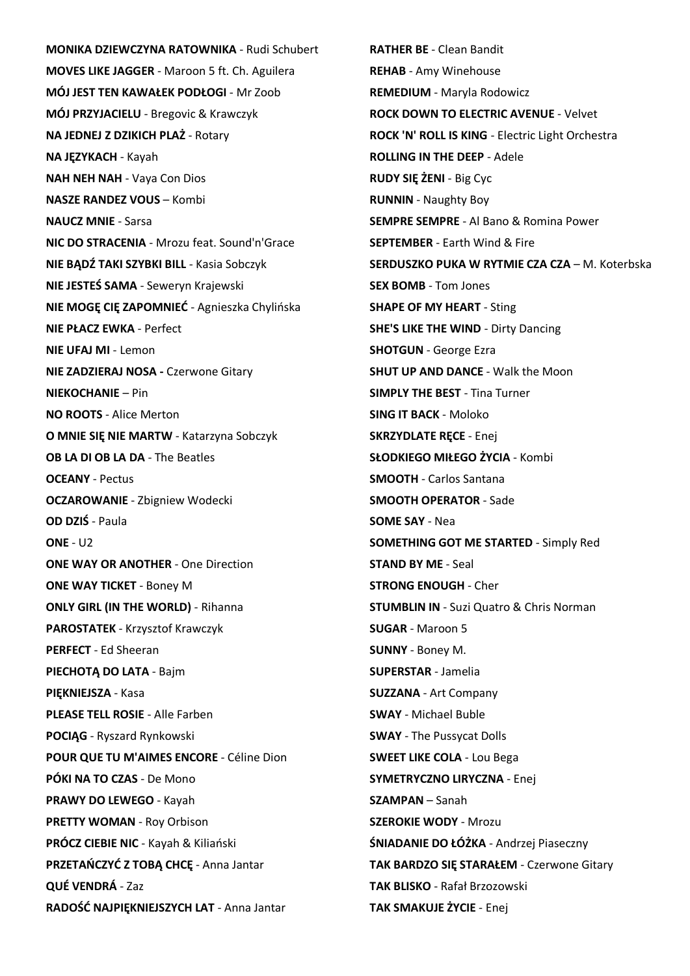**MONIKA DZIEWCZYNA RATOWNIKA** - Rudi Schubert **MOVES LIKE JAGGER** - Maroon 5 ft. Ch. Aguilera **MÓJ JEST TEN KAWAŁEK PODŁOGI** - Mr Zoob **MÓJ PRZYJACIELU** - Bregovic & Krawczyk **NA JEDNEJ Z DZIKICH PLAŻ** - Rotary **NA JĘZYKACH** - Kayah **NAH NEH NAH** - Vaya Con Dios **NASZE RANDEZ VOUS** – Kombi **NAUCZ MNIE** - Sarsa **NIC DO STRACENIA** - Mrozu feat. Sound'n'Grace **NIE BĄDŹ TAKI SZYBKI BILL** - Kasia Sobczyk **NIE JESTEŚ SAMA** - Seweryn Krajewski **NIE MOGĘ CIĘ ZAPOMNIEĆ** - Agnieszka Chylińska **NIE PŁACZ EWKA** - Perfect **NIE UFAJ MI** - Lemon **NIE ZADZIERAJ NOSA -** Czerwone Gitary **NIEKOCHANIE** – Pin **NO ROOTS** - Alice Merton **O MNIE SIĘ NIE MARTW** - Katarzyna Sobczyk **OB LA DI OB LA DA** - The Beatles **OCEANY** - Pectus **OCZAROWANIE** - Zbigniew Wodecki **OD DZIŚ** - Paula **ONE** - U2 **ONE WAY OR ANOTHER** - One Direction **ONE WAY TICKET** - Boney M **ONLY GIRL (IN THE WORLD)** - Rihanna **PAROSTATEK** - Krzysztof Krawczyk **PERFECT** - Ed Sheeran **PIECHOTĄ DO LATA** - Bajm **PIĘKNIEJSZA** - Kasa **PLEASE TELL ROSIE** - Alle Farben **POCIĄG** - Ryszard Rynkowski **POUR QUE TU M'AIMES ENCORE** - Céline Dion **PÓKI NA TO CZAS** - De Mono **PRAWY DO LEWEGO** - Kayah **PRETTY WOMAN** - Roy Orbison **PRÓCZ CIEBIE NIC** - Kayah & Kiliański **PRZETAŃCZYĆ Z TOBĄ CHCĘ** - Anna Jantar **QUÉ VENDRÁ** - Zaz **RADOŚĆ NAJPIĘKNIEJSZYCH LAT** - Anna Jantar

**RATHER BE** - Clean Bandit **REHAB** - Amy Winehouse **REMEDIUM** - Maryla Rodowicz **ROCK DOWN TO ELECTRIC AVENUE** - Velvet **ROCK 'N' ROLL IS KING** - Electric Light Orchestra **ROLLING IN THE DEEP** - Adele **RUDY SIĘ ŻENI** - Big Cyc **RUNNIN** - Naughty Boy **SEMPRE SEMPRE** - Al Bano & Romina Power **SEPTEMBER** - Earth Wind & Fire **SERDUSZKO PUKA W RYTMIE CZA CZA** – M. Koterbska **SEX BOMB** - Tom Jones **SHAPE OF MY HEART** - Sting **SHE'S LIKE THE WIND** - Dirty Dancing **SHOTGUN** - George Ezra **SHUT UP AND DANCE** - Walk the Moon **SIMPLY THE BEST** - Tina Turner **SING IT BACK** - Moloko **SKRZYDLATE RECE - Enej SŁODKIEGO MIŁEGO ŻYCIA** - Kombi **SMOOTH** - Carlos Santana **SMOOTH OPERATOR** - Sade **SOME SAY** - Nea **SOMETHING GOT ME STARTED** - Simply Red **STAND BY ME** - Seal **STRONG ENOUGH** - Cher **STUMBLIN IN** - Suzi Quatro & Chris Norman **SUGAR** - Maroon 5 **SUNNY** - Boney M. **SUPERSTAR** - Jamelia **SUZZANA** - Art Company **SWAY** - Michael Buble **SWAY** - The Pussycat Dolls **SWEET LIKE COLA** - Lou Bega **SYMETRYCZNO LIRYCZNA** - Enej **SZAMPAN** – Sanah **SZEROKIE WODY** - Mrozu **ŚNIADANIE DO ŁÓŻKA** - Andrzej Piaseczny **TAK BARDZO SIĘ STARAŁEM** - Czerwone Gitary **TAK BLISKO** - Rafał Brzozowski **TAK SMAKUJE ŻYCIE** - Enej